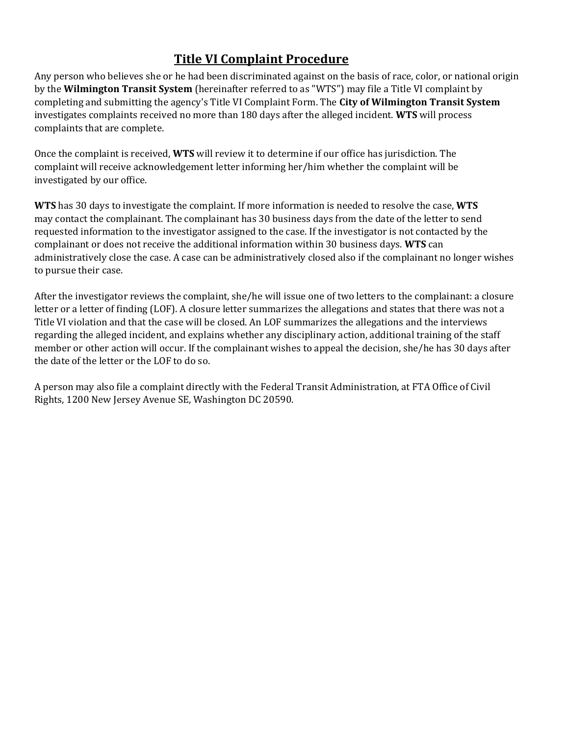## **Title VI Complaint Procedure**

Any person who believes she or he had been discriminated against on the basis of race, color, or national origin by the **Wilmington Transit System** (hereinafter referred to as "WTS") may file a Title VI complaint by completing and submitting the agency's Title VI Complaint Form. The **City of Wilmington Transit System** investigates complaints received no more than 180 days after the alleged incident. **WTS** will process complaints that are complete.

Once the complaint is received, **WTS** will review it to determine if our office has jurisdiction. The complaint will receive acknowledgement letter informing her/him whether the complaint will be investigated by our office.

**WTS** has 30 days to investigate the complaint. If more information is needed to resolve the case, **WTS** may contact the complainant. The complainant has 30 business days from the date of the letter to send requested information to the investigator assigned to the case. If the investigator is not contacted by the complainant or does not receive the additional information within 30 business days. **WTS** can administratively close the case. A case can be administratively closed also if the complainant no longer wishes to pursue their case.

After the investigator reviews the complaint, she/he will issue one of two letters to the complainant: a closure letter or a letter of finding (LOF). A closure letter summarizes the allegations and states that there was not a Title VI violation and that the case will be closed. An LOF summarizes the allegations and the interviews regarding the alleged incident, and explains whether any disciplinary action, additional training of the staff member or other action will occur. If the complainant wishes to appeal the decision, she/he has 30 days after the date of the letter or the LOF to do so.

A person may also file a complaint directly with the Federal Transit Administration, at FTA Office of Civil Rights, 1200 New Jersey Avenue SE, Washington DC 20590.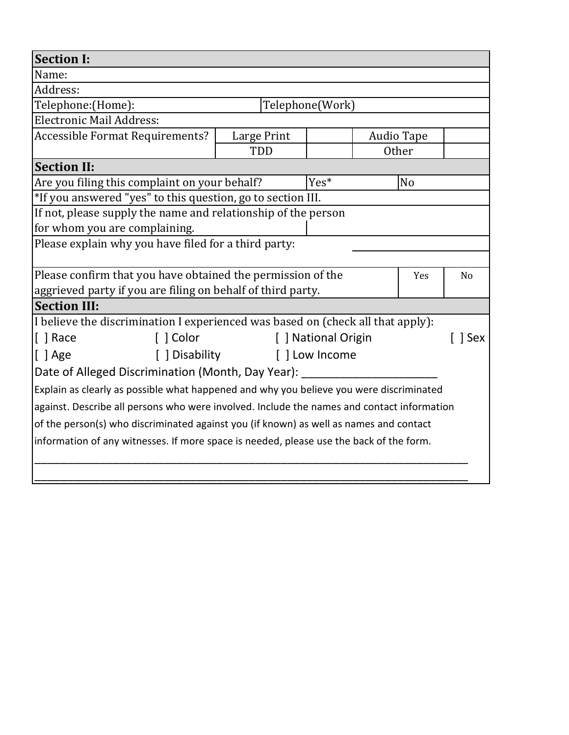| <b>Section I:</b>                                                                          |                 |                              |                   |                |  |  |
|--------------------------------------------------------------------------------------------|-----------------|------------------------------|-------------------|----------------|--|--|
| Name:                                                                                      |                 |                              |                   |                |  |  |
| Address:                                                                                   |                 |                              |                   |                |  |  |
| Telephone: (Home):                                                                         | Telephone(Work) |                              |                   |                |  |  |
| <b>Electronic Mail Address:</b>                                                            |                 |                              |                   |                |  |  |
| <b>Accessible Format Requirements?</b>                                                     | Large Print     |                              | <b>Audio Tape</b> |                |  |  |
|                                                                                            | TDD             |                              | <b>Other</b>      |                |  |  |
| <b>Section II:</b>                                                                         |                 |                              |                   |                |  |  |
| Are you filing this complaint on your behalf?                                              |                 | Yes*                         |                   | N <sub>o</sub> |  |  |
| *If you answered "yes" to this question, go to section III.                                |                 |                              |                   |                |  |  |
| If not, please supply the name and relationship of the person                              |                 |                              |                   |                |  |  |
| for whom you are complaining.                                                              |                 |                              |                   |                |  |  |
| Please explain why you have filed for a third party:                                       |                 |                              |                   |                |  |  |
|                                                                                            |                 |                              |                   |                |  |  |
| Please confirm that you have obtained the permission of the                                |                 |                              | Yes               | N <sub>o</sub> |  |  |
| aggrieved party if you are filing on behalf of third party.                                |                 |                              |                   |                |  |  |
| <b>Section III:</b>                                                                        |                 |                              |                   |                |  |  |
| I believe the discrimination I experienced was based on (check all that apply):            |                 |                              |                   |                |  |  |
| [ ] Color<br>$\lceil$   Race                                                               |                 | [ ] National Origin<br>l Sex |                   |                |  |  |
| $[ ]$ Age<br>[ ] Disability                                                                |                 | [] Low Income                |                   |                |  |  |
| Date of Alleged Discrimination (Month, Day Year): _______                                  |                 |                              |                   |                |  |  |
| Explain as clearly as possible what happened and why you believe you were discriminated    |                 |                              |                   |                |  |  |
| against. Describe all persons who were involved. Include the names and contact information |                 |                              |                   |                |  |  |
| of the person(s) who discriminated against you (if known) as well as names and contact     |                 |                              |                   |                |  |  |
| information of any witnesses. If more space is needed, please use the back of the form.    |                 |                              |                   |                |  |  |
|                                                                                            |                 |                              |                   |                |  |  |
|                                                                                            |                 |                              |                   |                |  |  |

L